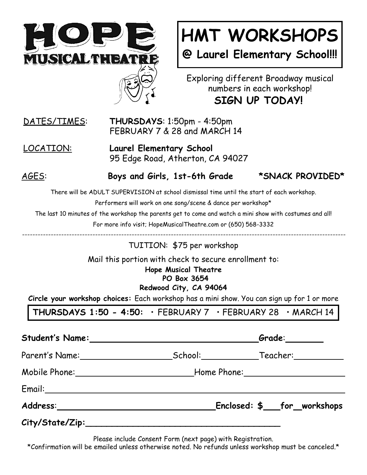

## **HMT WORKSHOPS**

**@ Laurel Elementary School!!!**

Exploring different Broadway musical numbers in each workshop! **SIGN UP TODAY!**

## DATES/TIMES: **THURSDAYS**: 1:50pm - 4:50pm FEBRUARY 7 & 28 and MARCH 14

LOCATION: **Laurel Elementary School** 95 Edge Road, Atherton, CA 94027

AGES: **Boys and Girls, 1st-6th Grade \*SNACK PROVIDED\***

There will be ADULT SUPERVISION at school dismissal time until the start of each workshop.

Performers will work on one song/scene & dance per workshop\*

The last 10 minutes of the workshop the parents get to come and watch a mini show with costumes and all!

For more info visit; HopeMusicalTheatre.com or (650) 568-3332

TUITION: \$75 per workshop

Mail this portion with check to secure enrollment to:

**Hope Musical Theatre PO Box 3654**

**Redwood City, CA 94064**

**Circle your workshop choices:** Each workshop has a mini show. You can sign up for 1 or more

**THURSDAYS 1:50 - 4:50:** • FEBRUARY 7 • FEBRUARY 28 • MARCH 14

|                                         | $G$ rade: $\_\_\_\_\_\_\_\_\_\_\_\_$ |  |
|-----------------------------------------|--------------------------------------|--|
|                                         |                                      |  |
|                                         |                                      |  |
|                                         |                                      |  |
| Address:_______________________________ | Enclosed: \$___for_workshops         |  |
|                                         |                                      |  |

Please include Consent Form (next page) with Registration.

\*Confirmation will be emailed unless otherwise noted. No refunds unless workshop must be canceled.\*